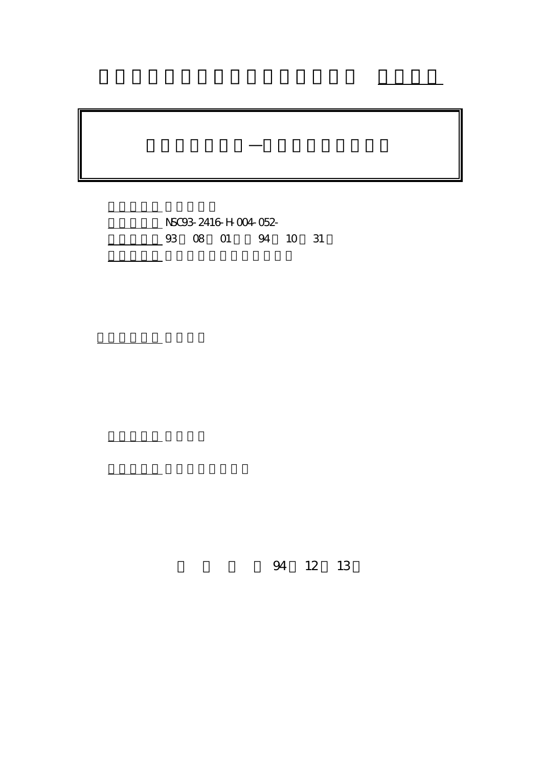計畫編號: NSC93-2416-H-004-052-

行政院國家科學委員會專題研究計畫 成果報告

創業機會之發展—需求與資源整合觀點

4 10 31

執行單位: 國立政治大學企業管理學系

計畫主持人: 司徒達賢

報告類型: 精簡報告

。<br>在前書 : 本計畫可公開查

94 12 13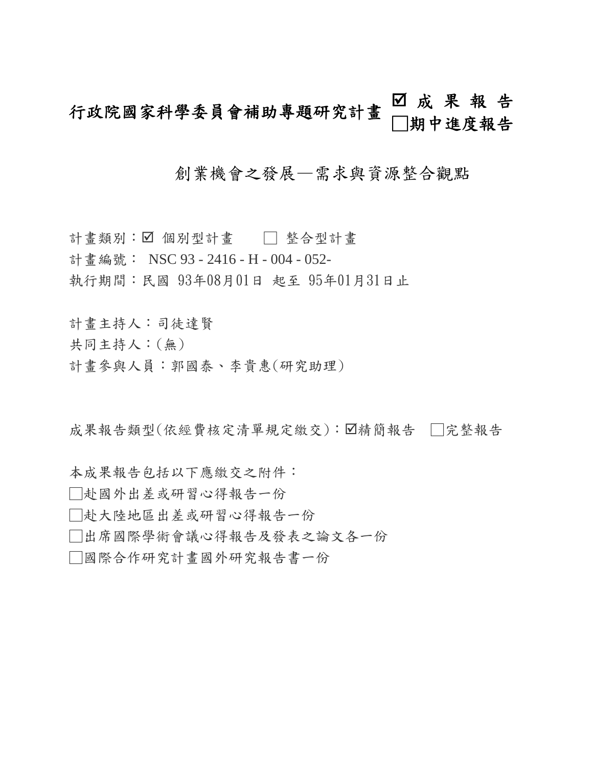# 行政院國家科學委員會補助專題研究計畫 □成果報告 □期中進度報告

## 創業機會之發展—需求與資源整合觀點

計畫類別: ☑ 個別型計畫 □ 整合型計畫 計書編號: NSC 93 - 2416 - H - 004 - 052-執行期間:民國 93年08月01日 起至 95年01月31日止

計畫主持人:司徒達賢

共同主持人:(無)

計畫參與人員:郭國泰、李貴惠(研究助理)

成果報告類型(依經費核定清單規定繳交):図精簡報告 □完整報告

本成果報告包括以下應繳交之附件:

□赴國外出差或研習心得報告一份

□赴大陸地區出差或研習心得報告一份

□出席國際學術會議心得報告及發表之論文各一份

□國際合作研究計畫國外研究報告書一份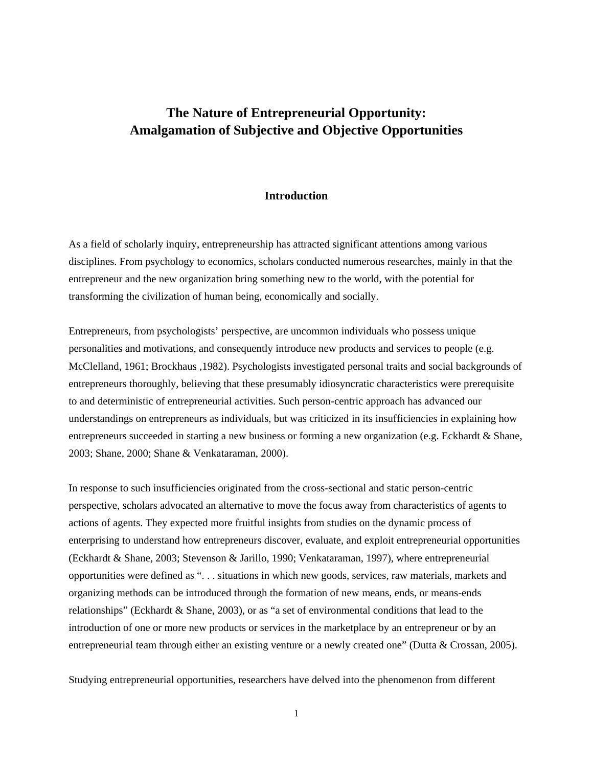## **The Nature of Entrepreneurial Opportunity: Amalgamation of Subjective and Objective Opportunities**

#### **Introduction**

As a field of scholarly inquiry, entrepreneurship has attracted significant attentions among various disciplines. From psychology to economics, scholars conducted numerous researches, mainly in that the entrepreneur and the new organization bring something new to the world, with the potential for transforming the civilization of human being, economically and socially.

Entrepreneurs, from psychologists' perspective, are uncommon individuals who possess unique personalities and motivations, and consequently introduce new products and services to people (e.g. McClelland, 1961; Brockhaus ,1982). Psychologists investigated personal traits and social backgrounds of entrepreneurs thoroughly, believing that these presumably idiosyncratic characteristics were prerequisite to and deterministic of entrepreneurial activities. Such person-centric approach has advanced our understandings on entrepreneurs as individuals, but was criticized in its insufficiencies in explaining how entrepreneurs succeeded in starting a new business or forming a new organization (e.g. Eckhardt & Shane, 2003; Shane, 2000; Shane & Venkataraman, 2000).

In response to such insufficiencies originated from the cross-sectional and static person-centric perspective, scholars advocated an alternative to move the focus away from characteristics of agents to actions of agents. They expected more fruitful insights from studies on the dynamic process of enterprising to understand how entrepreneurs discover, evaluate, and exploit entrepreneurial opportunities (Eckhardt & Shane, 2003; Stevenson & Jarillo, 1990; Venkataraman, 1997), where entrepreneurial opportunities were defined as ". . . situations in which new goods, services, raw materials, markets and organizing methods can be introduced through the formation of new means, ends, or means-ends relationships" (Eckhardt & Shane, 2003), or as "a set of environmental conditions that lead to the introduction of one or more new products or services in the marketplace by an entrepreneur or by an entrepreneurial team through either an existing venture or a newly created one" (Dutta & Crossan, 2005).

Studying entrepreneurial opportunities, researchers have delved into the phenomenon from different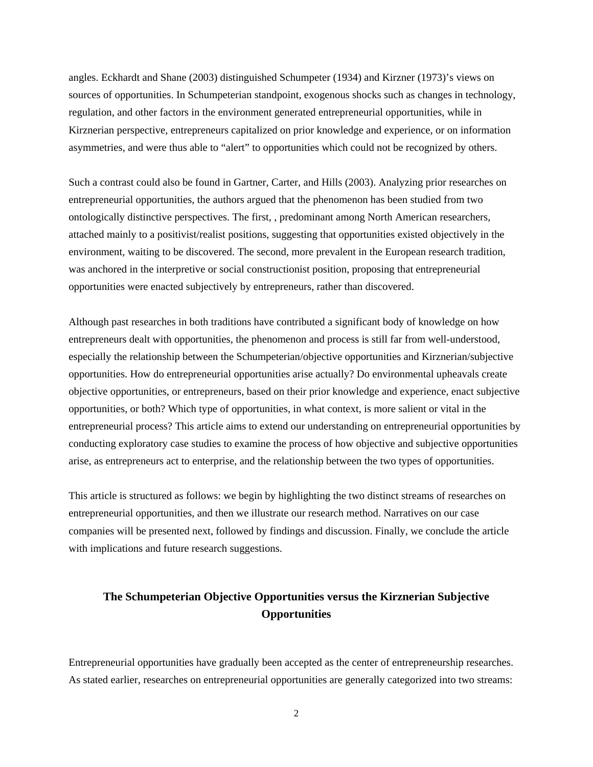angles. Eckhardt and Shane (2003) distinguished Schumpeter (1934) and Kirzner (1973)'s views on sources of opportunities. In Schumpeterian standpoint, exogenous shocks such as changes in technology, regulation, and other factors in the environment generated entrepreneurial opportunities, while in Kirznerian perspective, entrepreneurs capitalized on prior knowledge and experience, or on information asymmetries, and were thus able to "alert" to opportunities which could not be recognized by others.

Such a contrast could also be found in Gartner, Carter, and Hills (2003). Analyzing prior researches on entrepreneurial opportunities, the authors argued that the phenomenon has been studied from two ontologically distinctive perspectives. The first, , predominant among North American researchers, attached mainly to a positivist/realist positions, suggesting that opportunities existed objectively in the environment, waiting to be discovered. The second, more prevalent in the European research tradition, was anchored in the interpretive or social constructionist position, proposing that entrepreneurial opportunities were enacted subjectively by entrepreneurs, rather than discovered.

Although past researches in both traditions have contributed a significant body of knowledge on how entrepreneurs dealt with opportunities, the phenomenon and process is still far from well-understood, especially the relationship between the Schumpeterian/objective opportunities and Kirznerian/subjective opportunities. How do entrepreneurial opportunities arise actually? Do environmental upheavals create objective opportunities, or entrepreneurs, based on their prior knowledge and experience, enact subjective opportunities, or both? Which type of opportunities, in what context, is more salient or vital in the entrepreneurial process? This article aims to extend our understanding on entrepreneurial opportunities by conducting exploratory case studies to examine the process of how objective and subjective opportunities arise, as entrepreneurs act to enterprise, and the relationship between the two types of opportunities.

This article is structured as follows: we begin by highlighting the two distinct streams of researches on entrepreneurial opportunities, and then we illustrate our research method. Narratives on our case companies will be presented next, followed by findings and discussion. Finally, we conclude the article with implications and future research suggestions.

## **The Schumpeterian Objective Opportunities versus the Kirznerian Subjective Opportunities**

Entrepreneurial opportunities have gradually been accepted as the center of entrepreneurship researches. As stated earlier, researches on entrepreneurial opportunities are generally categorized into two streams: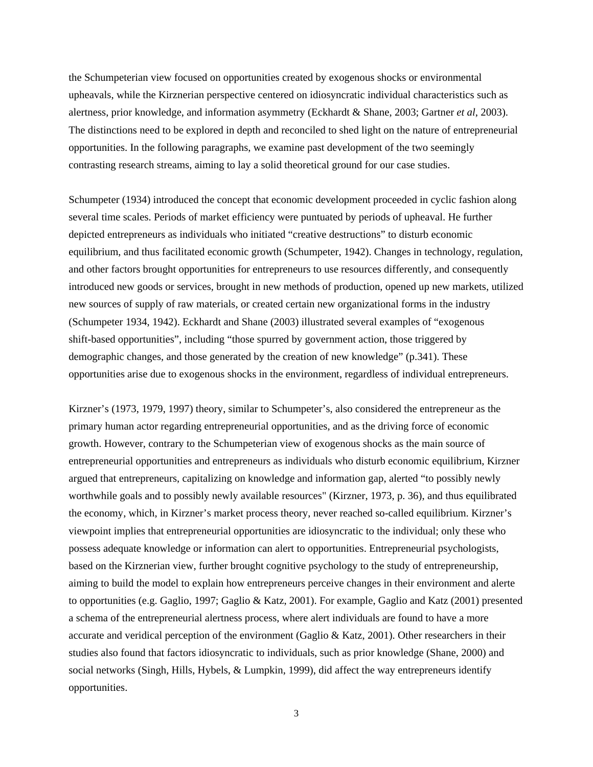the Schumpeterian view focused on opportunities created by exogenous shocks or environmental upheavals, while the Kirznerian perspective centered on idiosyncratic individual characteristics such as alertness, prior knowledge, and information asymmetry (Eckhardt & Shane, 2003; Gartner *et al*, 2003). The distinctions need to be explored in depth and reconciled to shed light on the nature of entrepreneurial opportunities. In the following paragraphs, we examine past development of the two seemingly contrasting research streams, aiming to lay a solid theoretical ground for our case studies.

Schumpeter (1934) introduced the concept that economic development proceeded in cyclic fashion along several time scales. Periods of market efficiency were puntuated by periods of upheaval. He further depicted entrepreneurs as individuals who initiated "creative destructions" to disturb economic equilibrium, and thus facilitated economic growth (Schumpeter, 1942). Changes in technology, regulation, and other factors brought opportunities for entrepreneurs to use resources differently, and consequently introduced new goods or services, brought in new methods of production, opened up new markets, utilized new sources of supply of raw materials, or created certain new organizational forms in the industry (Schumpeter 1934, 1942). Eckhardt and Shane (2003) illustrated several examples of "exogenous shift-based opportunities", including "those spurred by government action, those triggered by demographic changes, and those generated by the creation of new knowledge" (p.341). These opportunities arise due to exogenous shocks in the environment, regardless of individual entrepreneurs.

Kirzner's (1973, 1979, 1997) theory, similar to Schumpeter's, also considered the entrepreneur as the primary human actor regarding entrepreneurial opportunities, and as the driving force of economic growth. However, contrary to the Schumpeterian view of exogenous shocks as the main source of entrepreneurial opportunities and entrepreneurs as individuals who disturb economic equilibrium, Kirzner argued that entrepreneurs, capitalizing on knowledge and information gap, alerted "to possibly newly worthwhile goals and to possibly newly available resources" (Kirzner, 1973, p. 36), and thus equilibrated the economy, which, in Kirzner's market process theory, never reached so-called equilibrium. Kirzner's viewpoint implies that entrepreneurial opportunities are idiosyncratic to the individual; only these who possess adequate knowledge or information can alert to opportunities. Entrepreneurial psychologists, based on the Kirznerian view, further brought cognitive psychology to the study of entrepreneurship, aiming to build the model to explain how entrepreneurs perceive changes in their environment and alerte to opportunities (e.g. Gaglio, 1997; Gaglio & Katz, 2001). For example, Gaglio and Katz (2001) presented a schema of the entrepreneurial alertness process, where alert individuals are found to have a more accurate and veridical perception of the environment (Gaglio  $\&$  Katz, 2001). Other researchers in their studies also found that factors idiosyncratic to individuals, such as prior knowledge (Shane, 2000) and social networks (Singh, Hills, Hybels, & Lumpkin, 1999), did affect the way entrepreneurs identify opportunities.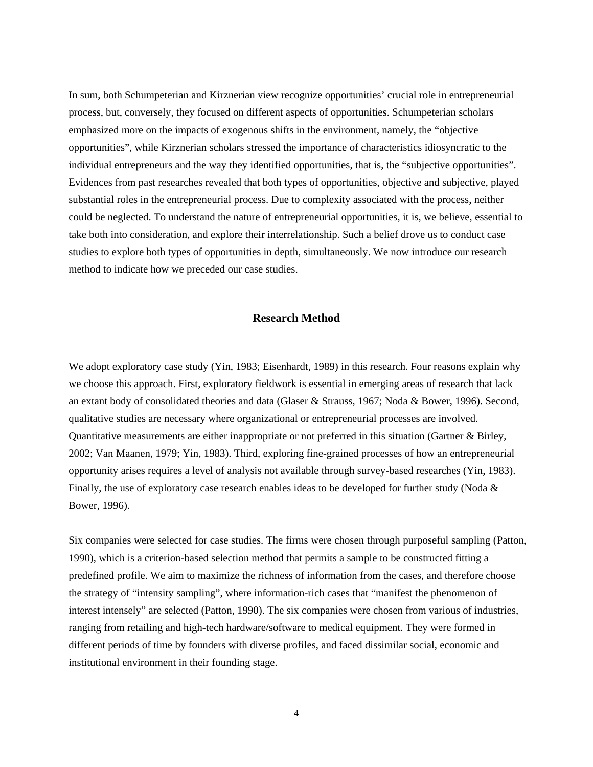In sum, both Schumpeterian and Kirznerian view recognize opportunities' crucial role in entrepreneurial process, but, conversely, they focused on different aspects of opportunities. Schumpeterian scholars emphasized more on the impacts of exogenous shifts in the environment, namely, the "objective opportunities", while Kirznerian scholars stressed the importance of characteristics idiosyncratic to the individual entrepreneurs and the way they identified opportunities, that is, the "subjective opportunities". Evidences from past researches revealed that both types of opportunities, objective and subjective, played substantial roles in the entrepreneurial process. Due to complexity associated with the process, neither could be neglected. To understand the nature of entrepreneurial opportunities, it is, we believe, essential to take both into consideration, and explore their interrelationship. Such a belief drove us to conduct case studies to explore both types of opportunities in depth, simultaneously. We now introduce our research method to indicate how we preceded our case studies.

#### **Research Method**

We adopt exploratory case study (Yin, 1983; Eisenhardt, 1989) in this research. Four reasons explain why we choose this approach. First, exploratory fieldwork is essential in emerging areas of research that lack an extant body of consolidated theories and data (Glaser & Strauss, 1967; Noda & Bower, 1996). Second, qualitative studies are necessary where organizational or entrepreneurial processes are involved. Quantitative measurements are either inappropriate or not preferred in this situation (Gartner & Birley, 2002; Van Maanen, 1979; Yin, 1983). Third, exploring fine-grained processes of how an entrepreneurial opportunity arises requires a level of analysis not available through survey-based researches (Yin, 1983). Finally, the use of exploratory case research enables ideas to be developed for further study (Noda & Bower, 1996).

Six companies were selected for case studies. The firms were chosen through purposeful sampling (Patton, 1990), which is a criterion-based selection method that permits a sample to be constructed fitting a predefined profile. We aim to maximize the richness of information from the cases, and therefore choose the strategy of "intensity sampling", where information-rich cases that "manifest the phenomenon of interest intensely" are selected (Patton, 1990). The six companies were chosen from various of industries, ranging from retailing and high-tech hardware/software to medical equipment. They were formed in different periods of time by founders with diverse profiles, and faced dissimilar social, economic and institutional environment in their founding stage.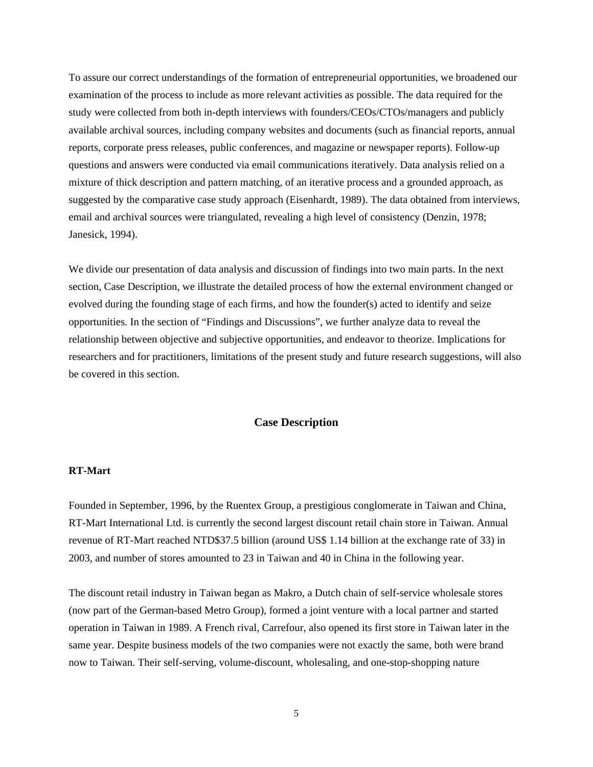To assure our correct understandings of the formation of entrepreneurial opportunities, we broadened our examination of the process to include as more relevant activities as possible. The data required for the study were collected from both in-depth interviews with founders/CEOs/CTOs/managers and publicly available archival sources, including company websites and documents (such as financial reports, annual reports, corporate press releases, public conferences, and magazine or newspaper reports). Follow-up questions and answers were conducted via email communications iteratively. Data analysis relied on a mixture of thick description and pattern matching, of an iterative process and a grounded approach, as suggested by the comparative case study approach (Eisenhardt, 1989). The data obtained from interviews, email and archival sources were triangulated, revealing a high level of consistency (Denzin, 1978; Janesick, 1994).

We divide our presentation of data analysis and discussion of findings into two main parts. In the next section, Case Description, we illustrate the detailed process of how the external environment changed or evolved during the founding stage of each firms, and how the founder(s) acted to identify and seize opportunities. In the section of "Findings and Discussions", we further analyze data to reveal the relationship between objective and subjective opportunities, and endeavor to theorize. Implications for researchers and for practitioners, limitations of the present study and future research suggestions, will also be covered in this section.

#### **Case Description**

#### **RT-Mart**

Founded in September, 1996, by the Ruentex Group, a prestigious conglomerate in Taiwan and China, RT-Mart International Ltd. is currently the second largest discount retail chain store in Taiwan. Annual revenue of RT-Mart reached NTD\$37.5 billion (around US\$ 1.14 billion at the exchange rate of 33) in 2003, and number of stores amounted to 23 in Taiwan and 40 in China in the following year.

The discount retail industry in Taiwan began as Makro, a Dutch chain of self-service wholesale stores (now part of the German-based Metro Group), formed a joint venture with a local partner and started operation in Taiwan in 1989. A French rival, Carrefour, also opened its first store in Taiwan later in the same year. Despite business models of the two companies were not exactly the same, both were brand now to Taiwan. Their self-serving, volume-discount, wholesaling, and one-stop-shopping nature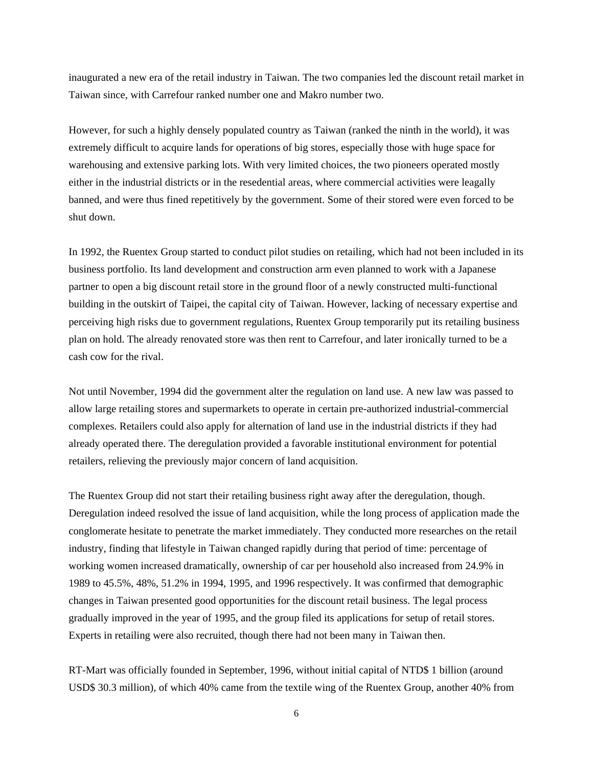inaugurated a new era of the retail industry in Taiwan. The two companies led the discount retail market in Taiwan since, with Carrefour ranked number one and Makro number two.

However, for such a highly densely populated country as Taiwan (ranked the ninth in the world), it was extremely difficult to acquire lands for operations of big stores, especially those with huge space for warehousing and extensive parking lots. With very limited choices, the two pioneers operated mostly either in the industrial districts or in the resedential areas, where commercial activities were leagally banned, and were thus fined repetitively by the government. Some of their stored were even forced to be shut down.

In 1992, the Ruentex Group started to conduct pilot studies on retailing, which had not been included in its business portfolio. Its land development and construction arm even planned to work with a Japanese partner to open a big discount retail store in the ground floor of a newly constructed multi-functional building in the outskirt of Taipei, the capital city of Taiwan. However, lacking of necessary expertise and perceiving high risks due to government regulations, Ruentex Group temporarily put its retailing business plan on hold. The already renovated store was then rent to Carrefour, and later ironically turned to be a cash cow for the rival.

Not until November, 1994 did the government alter the regulation on land use. A new law was passed to allow large retailing stores and supermarkets to operate in certain pre-authorized industrial-commercial complexes. Retailers could also apply for alternation of land use in the industrial districts if they had already operated there. The deregulation provided a favorable institutional environment for potential retailers, relieving the previously major concern of land acquisition.

The Ruentex Group did not start their retailing business right away after the deregulation, though. Deregulation indeed resolved the issue of land acquisition, while the long process of application made the conglomerate hesitate to penetrate the market immediately. They conducted more researches on the retail industry, finding that lifestyle in Taiwan changed rapidly during that period of time: percentage of working women increased dramatically, ownership of car per household also increased from 24.9% in 1989 to 45.5%, 48%, 51.2% in 1994, 1995, and 1996 respectively. It was confirmed that demographic changes in Taiwan presented good opportunities for the discount retail business. The legal process gradually improved in the year of 1995, and the group filed its applications for setup of retail stores. Experts in retailing were also recruited, though there had not been many in Taiwan then.

RT-Mart was officially founded in September, 1996, without initial capital of NTD\$ 1 billion (around USD\$ 30.3 million), of which 40% came from the textile wing of the Ruentex Group, another 40% from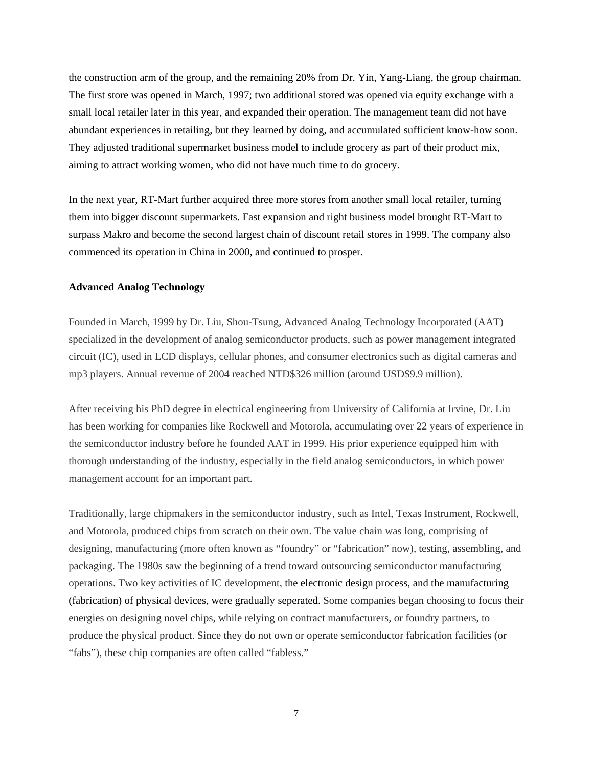the construction arm of the group, and the remaining 20% from Dr. Yin, Yang-Liang, the group chairman. The first store was opened in March, 1997; two additional stored was opened via equity exchange with a small local retailer later in this year, and expanded their operation. The management team did not have abundant experiences in retailing, but they learned by doing, and accumulated sufficient know-how soon. They adjusted traditional supermarket business model to include grocery as part of their product mix, aiming to attract working women, who did not have much time to do grocery.

In the next year, RT-Mart further acquired three more stores from another small local retailer, turning them into bigger discount supermarkets. Fast expansion and right business model brought RT-Mart to surpass Makro and become the second largest chain of discount retail stores in 1999. The company also commenced its operation in China in 2000, and continued to prosper.

#### **Advanced Analog Technology**

Founded in March, 1999 by Dr. Liu, Shou-Tsung, Advanced Analog Technology Incorporated (AAT) specialized in the development of analog semiconductor products, such as power management integrated circuit (IC), used in LCD displays, cellular phones, and consumer electronics such as digital cameras and mp3 players. Annual revenue of 2004 reached NTD\$326 million (around USD\$9.9 million).

After receiving his PhD degree in electrical engineering from University of California at Irvine, Dr. Liu has been working for companies like Rockwell and Motorola, accumulating over 22 years of experience in the semiconductor industry before he founded AAT in 1999. His prior experience equipped him with thorough understanding of the industry, especially in the field analog semiconductors, in which power management account for an important part.

Traditionally, large chipmakers in the semiconductor industry, such as Intel, Texas Instrument, Rockwell, and Motorola, produced chips from scratch on their own. The value chain was long, comprising of designing, manufacturing (more often known as "foundry" or "fabrication" now), testing, assembling, and packaging. The 1980s saw the beginning of a trend toward outsourcing semiconductor manufacturing operations. Two key activities of IC development, the electronic design process, and the manufacturing (fabrication) of physical devices, were gradually seperated. Some companies began choosing to focus their energies on designing novel chips, while relying on contract manufacturers, or foundry partners, to produce the physical product. Since they do not own or operate semiconductor fabrication facilities (or "fabs"), these chip companies are often called "fabless."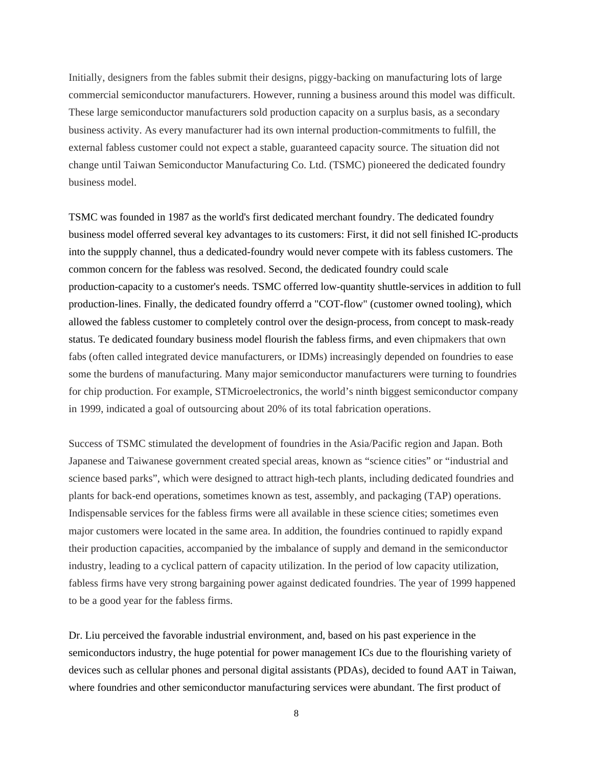Initially, designers from the fables submit their designs, piggy-backing on manufacturing lots of large commercial semiconductor manufacturers. However, running a business around this model was difficult. These large semiconductor manufacturers sold production capacity on a surplus basis, as a secondary business activity. As every manufacturer had its own internal production-commitments to fulfill, the external fabless customer could not expect a stable, guaranteed capacity source. The situation did not change until Taiwan Semiconductor Manufacturing Co. Ltd. (TSMC) pioneered the dedicated foundry business model.

TSMC was founded in 1987 as the world's first dedicated merchant foundry. The dedicated foundry business model offerred several key advantages to its customers: First, it did not sell finished IC-products into the suppply channel, thus a dedicated-foundry would never compete with its fabless customers. The common concern for the fabless was resolved. Second, the dedicated foundry could scale production-capacity to a customer's needs. TSMC offerred low-quantity shuttle-services in addition to full production-lines. Finally, the dedicated foundry offerrd a "COT-flow" (customer owned tooling), which allowed the fabless customer to completely control over the design-process, from concept to mask-ready status. Te dedicated foundary business model flourish the fabless firms, and even chipmakers that own fabs (often called integrated device manufacturers, or IDMs) increasingly depended on foundries to ease some the burdens of manufacturing. Many major semiconductor manufacturers were turning to foundries for chip production. For example, STMicroelectronics, the world's ninth biggest semiconductor company in 1999, indicated a goal of outsourcing about 20% of its total fabrication operations.

Success of TSMC stimulated the development of foundries in the Asia/Pacific region and Japan. Both Japanese and Taiwanese government created special areas, known as "science cities" or "industrial and science based parks", which were designed to attract high-tech plants, including dedicated foundries and plants for back-end operations, sometimes known as test, assembly, and packaging (TAP) operations. Indispensable services for the fabless firms were all available in these science cities; sometimes even major customers were located in the same area. In addition, the foundries continued to rapidly expand their production capacities, accompanied by the imbalance of supply and demand in the semiconductor industry, leading to a cyclical pattern of capacity utilization. In the period of low capacity utilization, fabless firms have very strong bargaining power against dedicated foundries. The year of 1999 happened to be a good year for the fabless firms.

Dr. Liu perceived the favorable industrial environment, and, based on his past experience in the semiconductors industry, the huge potential for power management ICs due to the flourishing variety of devices such as cellular phones and personal digital assistants (PDAs), decided to found AAT in Taiwan, where foundries and other semiconductor manufacturing services were abundant. The first product of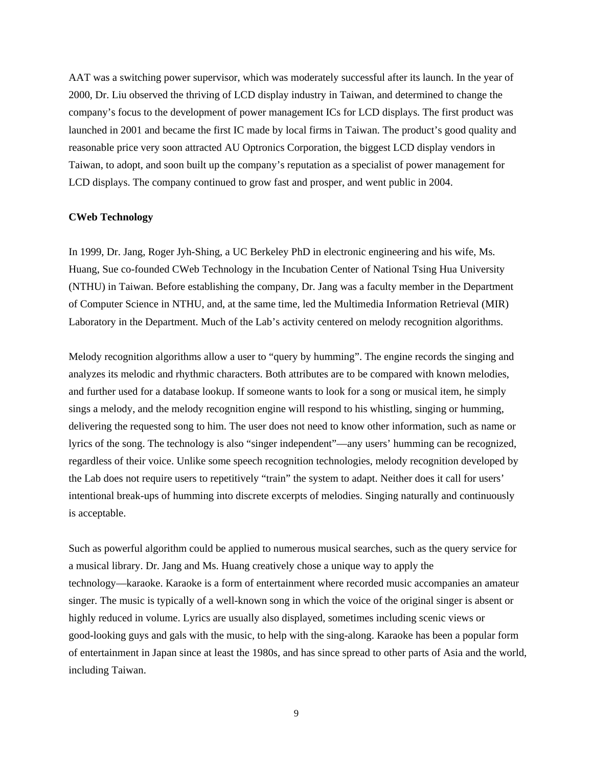AAT was a switching power supervisor, which was moderately successful after its launch. In the year of 2000, Dr. Liu observed the thriving of LCD display industry in Taiwan, and determined to change the company's focus to the development of power management ICs for LCD displays. The first product was launched in 2001 and became the first IC made by local firms in Taiwan. The product's good quality and reasonable price very soon attracted AU Optronics Corporation, the biggest LCD display vendors in Taiwan, to adopt, and soon built up the company's reputation as a specialist of power management for LCD displays. The company continued to grow fast and prosper, and went public in 2004.

#### **CWeb Technology**

In 1999, Dr. Jang, Roger Jyh-Shing, a UC Berkeley PhD in electronic engineering and his wife, Ms. Huang, Sue co-founded CWeb Technology in the Incubation Center of National Tsing Hua University (NTHU) in Taiwan. Before establishing the company, Dr. Jang was a faculty member in the Department of Computer Science in NTHU, and, at the same time, led the Multimedia Information Retrieval (MIR) Laboratory in the Department. Much of the Lab's activity centered on melody recognition algorithms.

Melody recognition algorithms allow a user to "query by humming". The engine records the singing and analyzes its melodic and rhythmic characters. Both attributes are to be compared with known melodies, and further used for a database lookup. If someone wants to look for a song or musical item, he simply sings a melody, and the melody recognition engine will respond to his whistling, singing or humming, delivering the requested song to him. The user does not need to know other information, such as name or lyrics of the song. The technology is also "singer independent"—any users' humming can be recognized, regardless of their voice. Unlike some speech recognition technologies, melody recognition developed by the Lab does not require users to repetitively "train" the system to adapt. Neither does it call for users' intentional break-ups of humming into discrete excerpts of melodies. Singing naturally and continuously is acceptable.

Such as powerful algorithm could be applied to numerous musical searches, such as the query service for a musical library. Dr. Jang and Ms. Huang creatively chose a unique way to apply the technology—karaoke. Karaoke is a form of entertainment where recorded music accompanies an amateur singer. The music is typically of a well-known song in which the voice of the original singer is absent or highly reduced in volume. Lyrics are usually also displayed, sometimes including scenic views or good-looking guys and gals with the music, to help with the sing-along. Karaoke has been a popular form of entertainment in Japan since at least the 1980s, and has since spread to other parts of Asia and the world, including Taiwan.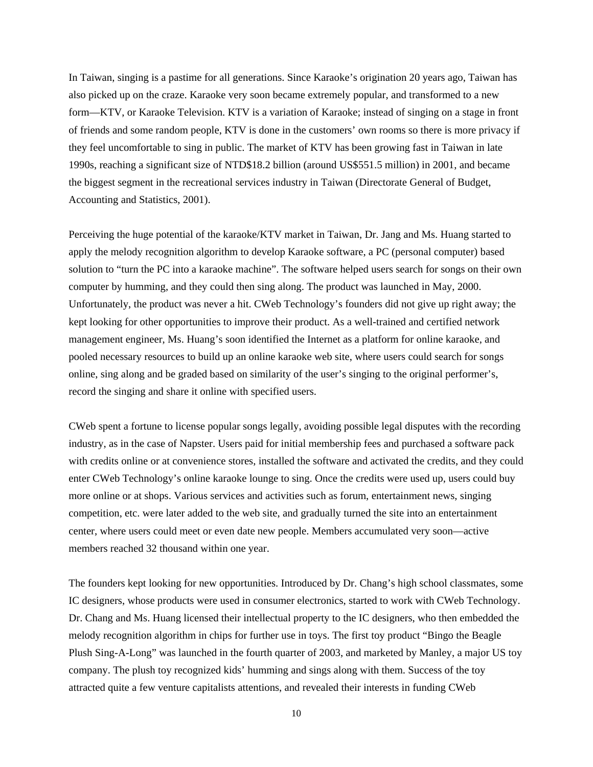In Taiwan, singing is a pastime for all generations. Since Karaoke's origination 20 years ago, Taiwan has also picked up on the craze. Karaoke very soon became extremely popular, and transformed to a new form—KTV, or Karaoke Television. KTV is a variation of Karaoke; instead of singing on a stage in front of friends and some random people, KTV is done in the customers' own rooms so there is more privacy if they feel uncomfortable to sing in public. The market of KTV has been growing fast in Taiwan in late 1990s, reaching a significant size of NTD\$18.2 billion (around US\$551.5 million) in 2001, and became the biggest segment in the recreational services industry in Taiwan (Directorate General of Budget, Accounting and Statistics, 2001).

Perceiving the huge potential of the karaoke/KTV market in Taiwan, Dr. Jang and Ms. Huang started to apply the melody recognition algorithm to develop Karaoke software, a PC (personal computer) based solution to "turn the PC into a karaoke machine". The software helped users search for songs on their own computer by humming, and they could then sing along. The product was launched in May, 2000. Unfortunately, the product was never a hit. CWeb Technology's founders did not give up right away; the kept looking for other opportunities to improve their product. As a well-trained and certified network management engineer, Ms. Huang's soon identified the Internet as a platform for online karaoke, and pooled necessary resources to build up an online karaoke web site, where users could search for songs online, sing along and be graded based on similarity of the user's singing to the original performer's, record the singing and share it online with specified users.

CWeb spent a fortune to license popular songs legally, avoiding possible legal disputes with the recording industry, as in the case of Napster. Users paid for initial membership fees and purchased a software pack with credits online or at convenience stores, installed the software and activated the credits, and they could enter CWeb Technology's online karaoke lounge to sing. Once the credits were used up, users could buy more online or at shops. Various services and activities such as forum, entertainment news, singing competition, etc. were later added to the web site, and gradually turned the site into an entertainment center, where users could meet or even date new people. Members accumulated very soon—active members reached 32 thousand within one year.

The founders kept looking for new opportunities. Introduced by Dr. Chang's high school classmates, some IC designers, whose products were used in consumer electronics, started to work with CWeb Technology. Dr. Chang and Ms. Huang licensed their intellectual property to the IC designers, who then embedded the melody recognition algorithm in chips for further use in toys. The first toy product "Bingo the Beagle Plush Sing-A-Long" was launched in the fourth quarter of 2003, and marketed by Manley, a major US toy company. The plush toy recognized kids' humming and sings along with them. Success of the toy attracted quite a few venture capitalists attentions, and revealed their interests in funding CWeb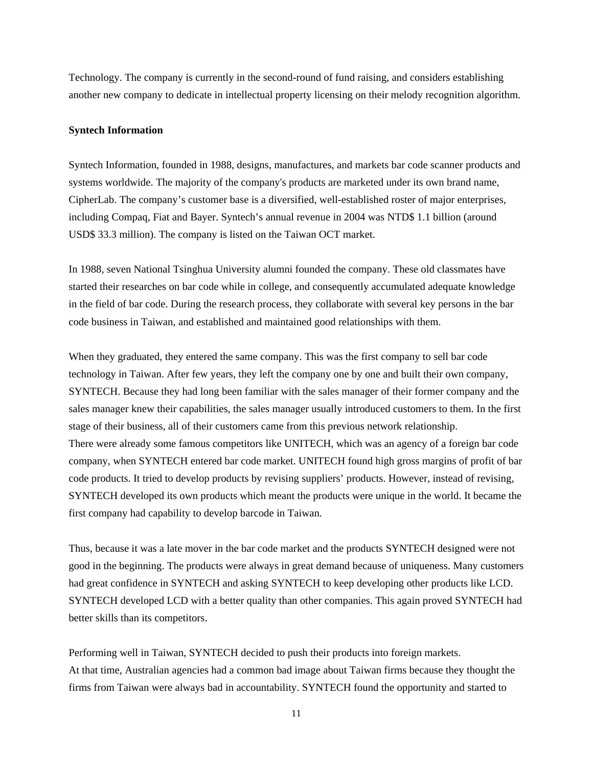Technology. The company is currently in the second-round of fund raising, and considers establishing another new company to dedicate in intellectual property licensing on their melody recognition algorithm.

#### **Syntech Information**

Syntech Information, founded in 1988, designs, manufactures, and markets bar code scanner products and systems worldwide. The majority of the company's products are marketed under its own brand name, CipherLab. The company's customer base is a diversified, well-established roster of major enterprises, including Compaq, Fiat and Bayer. Syntech's annual revenue in 2004 was NTD\$ 1.1 billion (around USD\$ 33.3 million). The company is listed on the Taiwan OCT market.

In 1988, seven National Tsinghua University alumni founded the company. These old classmates have started their researches on bar code while in college, and consequently accumulated adequate knowledge in the field of bar code. During the research process, they collaborate with several key persons in the bar code business in Taiwan, and established and maintained good relationships with them.

When they graduated, they entered the same company. This was the first company to sell bar code technology in Taiwan. After few years, they left the company one by one and built their own company, SYNTECH. Because they had long been familiar with the sales manager of their former company and the sales manager knew their capabilities, the sales manager usually introduced customers to them. In the first stage of their business, all of their customers came from this previous network relationship. There were already some famous competitors like UNITECH, which was an agency of a foreign bar code company, when SYNTECH entered bar code market. UNITECH found high gross margins of profit of bar code products. It tried to develop products by revising suppliers' products. However, instead of revising, SYNTECH developed its own products which meant the products were unique in the world. It became the first company had capability to develop barcode in Taiwan.

Thus, because it was a late mover in the bar code market and the products SYNTECH designed were not good in the beginning. The products were always in great demand because of uniqueness. Many customers had great confidence in SYNTECH and asking SYNTECH to keep developing other products like LCD. SYNTECH developed LCD with a better quality than other companies. This again proved SYNTECH had better skills than its competitors.

Performing well in Taiwan, SYNTECH decided to push their products into foreign markets. At that time, Australian agencies had a common bad image about Taiwan firms because they thought the firms from Taiwan were always bad in accountability. SYNTECH found the opportunity and started to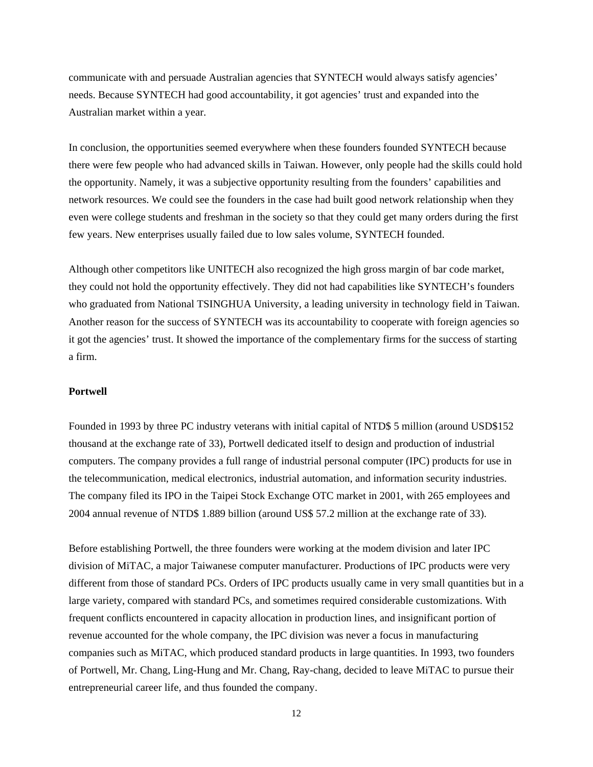communicate with and persuade Australian agencies that SYNTECH would always satisfy agencies' needs. Because SYNTECH had good accountability, it got agencies' trust and expanded into the Australian market within a year.

In conclusion, the opportunities seemed everywhere when these founders founded SYNTECH because there were few people who had advanced skills in Taiwan. However, only people had the skills could hold the opportunity. Namely, it was a subjective opportunity resulting from the founders' capabilities and network resources. We could see the founders in the case had built good network relationship when they even were college students and freshman in the society so that they could get many orders during the first few years. New enterprises usually failed due to low sales volume, SYNTECH founded.

Although other competitors like UNITECH also recognized the high gross margin of bar code market, they could not hold the opportunity effectively. They did not had capabilities like SYNTECH's founders who graduated from National TSINGHUA University, a leading university in technology field in Taiwan. Another reason for the success of SYNTECH was its accountability to cooperate with foreign agencies so it got the agencies' trust. It showed the importance of the complementary firms for the success of starting a firm.

#### **Portwell**

Founded in 1993 by three PC industry veterans with initial capital of NTD\$ 5 million (around USD\$152 thousand at the exchange rate of 33), Portwell dedicated itself to design and production of industrial computers. The company provides a full range of industrial personal computer (IPC) products for use in the telecommunication, medical electronics, industrial automation, and information security industries. The company filed its IPO in the Taipei Stock Exchange OTC market in 2001, with 265 employees and 2004 annual revenue of NTD\$ 1.889 billion (around US\$ 57.2 million at the exchange rate of 33).

Before establishing Portwell, the three founders were working at the modem division and later IPC division of MiTAC, a major Taiwanese computer manufacturer. Productions of IPC products were very different from those of standard PCs. Orders of IPC products usually came in very small quantities but in a large variety, compared with standard PCs, and sometimes required considerable customizations. With frequent conflicts encountered in capacity allocation in production lines, and insignificant portion of revenue accounted for the whole company, the IPC division was never a focus in manufacturing companies such as MiTAC, which produced standard products in large quantities. In 1993, two founders of Portwell, Mr. Chang, Ling-Hung and Mr. Chang, Ray-chang, decided to leave MiTAC to pursue their entrepreneurial career life, and thus founded the company.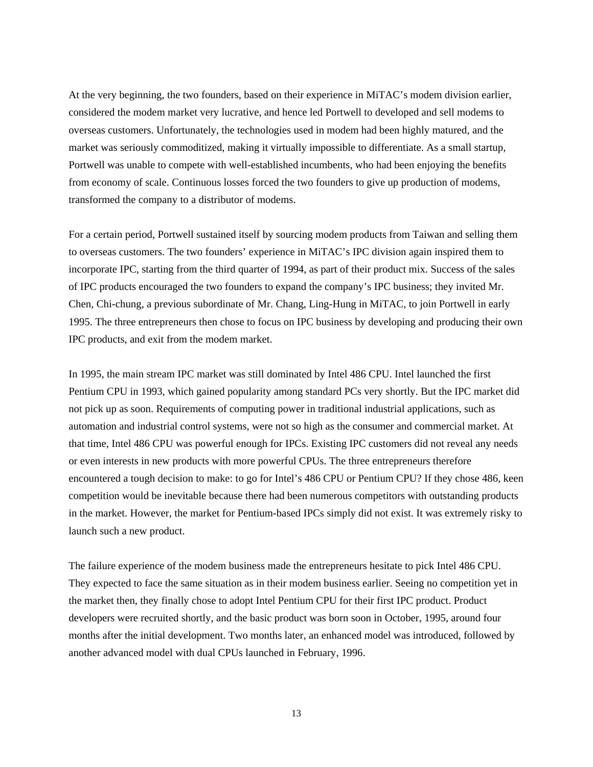At the very beginning, the two founders, based on their experience in MiTAC's modem division earlier, considered the modem market very lucrative, and hence led Portwell to developed and sell modems to overseas customers. Unfortunately, the technologies used in modem had been highly matured, and the market was seriously commoditized, making it virtually impossible to differentiate. As a small startup, Portwell was unable to compete with well-established incumbents, who had been enjoying the benefits from economy of scale. Continuous losses forced the two founders to give up production of modems, transformed the company to a distributor of modems.

For a certain period, Portwell sustained itself by sourcing modem products from Taiwan and selling them to overseas customers. The two founders' experience in MiTAC's IPC division again inspired them to incorporate IPC, starting from the third quarter of 1994, as part of their product mix. Success of the sales of IPC products encouraged the two founders to expand the company's IPC business; they invited Mr. Chen, Chi-chung, a previous subordinate of Mr. Chang, Ling-Hung in MiTAC, to join Portwell in early 1995. The three entrepreneurs then chose to focus on IPC business by developing and producing their own IPC products, and exit from the modem market.

In 1995, the main stream IPC market was still dominated by Intel 486 CPU. Intel launched the first Pentium CPU in 1993, which gained popularity among standard PCs very shortly. But the IPC market did not pick up as soon. Requirements of computing power in traditional industrial applications, such as automation and industrial control systems, were not so high as the consumer and commercial market. At that time, Intel 486 CPU was powerful enough for IPCs. Existing IPC customers did not reveal any needs or even interests in new products with more powerful CPUs. The three entrepreneurs therefore encountered a tough decision to make: to go for Intel's 486 CPU or Pentium CPU? If they chose 486, keen competition would be inevitable because there had been numerous competitors with outstanding products in the market. However, the market for Pentium-based IPCs simply did not exist. It was extremely risky to launch such a new product.

The failure experience of the modem business made the entrepreneurs hesitate to pick Intel 486 CPU. They expected to face the same situation as in their modem business earlier. Seeing no competition yet in the market then, they finally chose to adopt Intel Pentium CPU for their first IPC product. Product developers were recruited shortly, and the basic product was born soon in October, 1995, around four months after the initial development. Two months later, an enhanced model was introduced, followed by another advanced model with dual CPUs launched in February, 1996.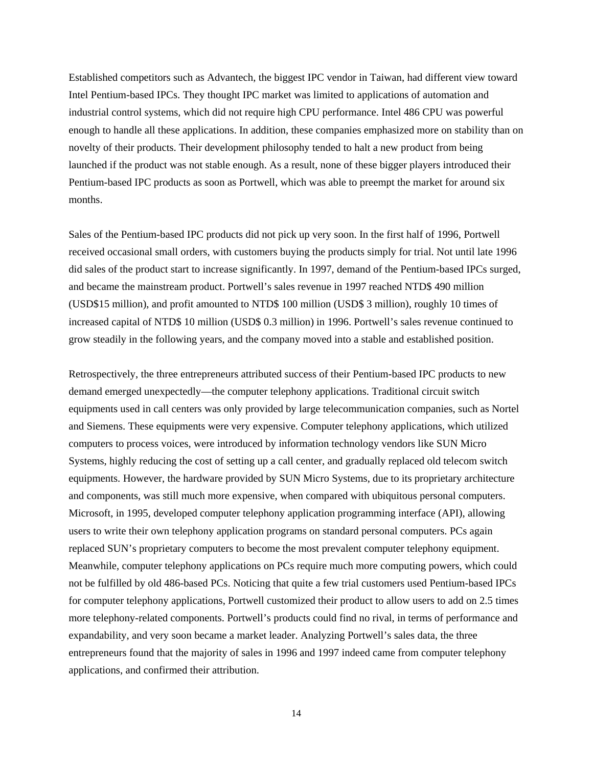Established competitors such as Advantech, the biggest IPC vendor in Taiwan, had different view toward Intel Pentium-based IPCs. They thought IPC market was limited to applications of automation and industrial control systems, which did not require high CPU performance. Intel 486 CPU was powerful enough to handle all these applications. In addition, these companies emphasized more on stability than on novelty of their products. Their development philosophy tended to halt a new product from being launched if the product was not stable enough. As a result, none of these bigger players introduced their Pentium-based IPC products as soon as Portwell, which was able to preempt the market for around six months.

Sales of the Pentium-based IPC products did not pick up very soon. In the first half of 1996, Portwell received occasional small orders, with customers buying the products simply for trial. Not until late 1996 did sales of the product start to increase significantly. In 1997, demand of the Pentium-based IPCs surged, and became the mainstream product. Portwell's sales revenue in 1997 reached NTD\$ 490 million (USD\$15 million), and profit amounted to NTD\$ 100 million (USD\$ 3 million), roughly 10 times of increased capital of NTD\$ 10 million (USD\$ 0.3 million) in 1996. Portwell's sales revenue continued to grow steadily in the following years, and the company moved into a stable and established position.

Retrospectively, the three entrepreneurs attributed success of their Pentium-based IPC products to new demand emerged unexpectedly—the computer telephony applications. Traditional circuit switch equipments used in call centers was only provided by large telecommunication companies, such as Nortel and Siemens. These equipments were very expensive. Computer telephony applications, which utilized computers to process voices, were introduced by information technology vendors like SUN Micro Systems, highly reducing the cost of setting up a call center, and gradually replaced old telecom switch equipments. However, the hardware provided by SUN Micro Systems, due to its proprietary architecture and components, was still much more expensive, when compared with ubiquitous personal computers. Microsoft, in 1995, developed computer telephony application programming interface (API), allowing users to write their own telephony application programs on standard personal computers. PCs again replaced SUN's proprietary computers to become the most prevalent computer telephony equipment. Meanwhile, computer telephony applications on PCs require much more computing powers, which could not be fulfilled by old 486-based PCs. Noticing that quite a few trial customers used Pentium-based IPCs for computer telephony applications, Portwell customized their product to allow users to add on 2.5 times more telephony-related components. Portwell's products could find no rival, in terms of performance and expandability, and very soon became a market leader. Analyzing Portwell's sales data, the three entrepreneurs found that the majority of sales in 1996 and 1997 indeed came from computer telephony applications, and confirmed their attribution.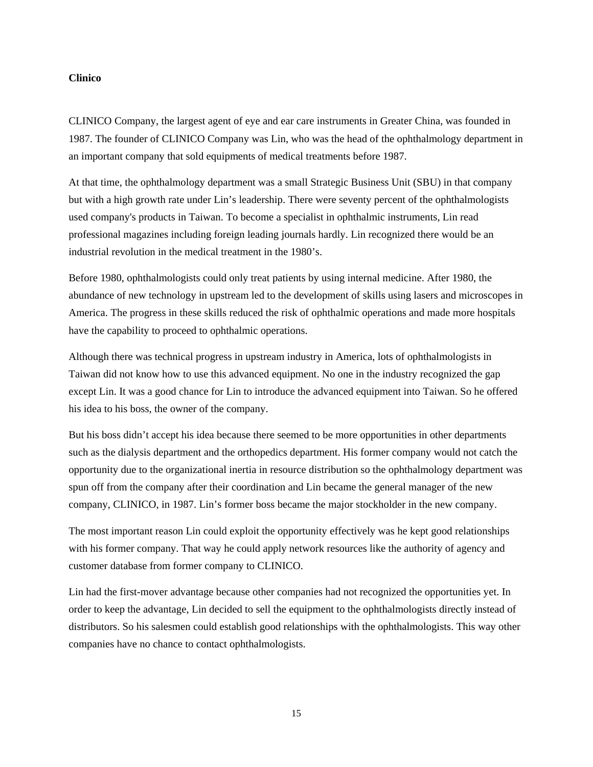#### **Clinico**

CLINICO Company, the largest agent of eye and ear care instruments in Greater China, was founded in 1987. The founder of CLINICO Company was Lin, who was the head of the ophthalmology department in an important company that sold equipments of medical treatments before 1987.

At that time, the ophthalmology department was a small Strategic Business Unit (SBU) in that company but with a high growth rate under Lin's leadership. There were seventy percent of the ophthalmologists used company's products in Taiwan. To become a specialist in ophthalmic instruments, Lin read professional magazines including foreign leading journals hardly. Lin recognized there would be an industrial revolution in the medical treatment in the 1980's.

Before 1980, ophthalmologists could only treat patients by using internal medicine. After 1980, the abundance of new technology in upstream led to the development of skills using lasers and microscopes in America. The progress in these skills reduced the risk of ophthalmic operations and made more hospitals have the capability to proceed to ophthalmic operations.

Although there was technical progress in upstream industry in America, lots of ophthalmologists in Taiwan did not know how to use this advanced equipment. No one in the industry recognized the gap except Lin. It was a good chance for Lin to introduce the advanced equipment into Taiwan. So he offered his idea to his boss, the owner of the company.

But his boss didn't accept his idea because there seemed to be more opportunities in other departments such as the dialysis department and the orthopedics department. His former company would not catch the opportunity due to the organizational inertia in resource distribution so the ophthalmology department was spun off from the company after their coordination and Lin became the general manager of the new company, CLINICO, in 1987. Lin's former boss became the major stockholder in the new company.

The most important reason Lin could exploit the opportunity effectively was he kept good relationships with his former company. That way he could apply network resources like the authority of agency and customer database from former company to CLINICO.

Lin had the first-mover advantage because other companies had not recognized the opportunities yet. In order to keep the advantage, Lin decided to sell the equipment to the ophthalmologists directly instead of distributors. So his salesmen could establish good relationships with the ophthalmologists. This way other companies have no chance to contact ophthalmologists.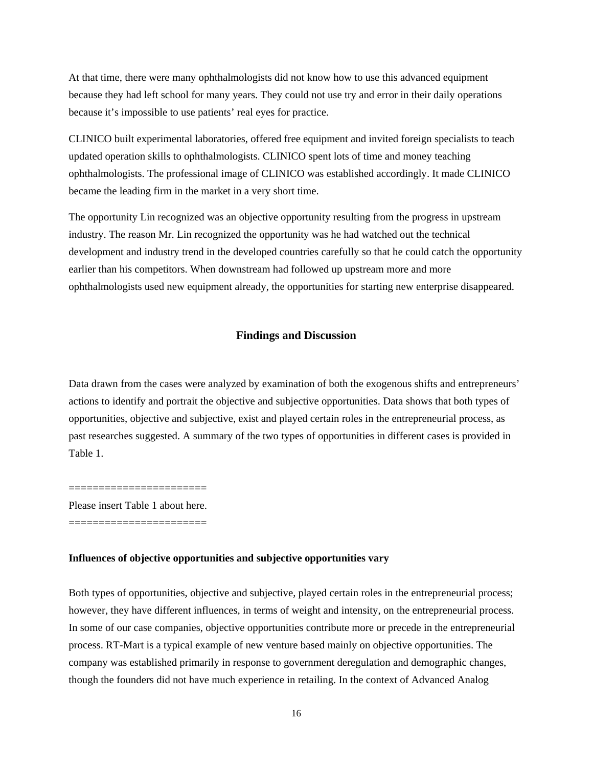At that time, there were many ophthalmologists did not know how to use this advanced equipment because they had left school for many years. They could not use try and error in their daily operations because it's impossible to use patients' real eyes for practice.

CLINICO built experimental laboratories, offered free equipment and invited foreign specialists to teach updated operation skills to ophthalmologists. CLINICO spent lots of time and money teaching ophthalmologists. The professional image of CLINICO was established accordingly. It made CLINICO became the leading firm in the market in a very short time.

The opportunity Lin recognized was an objective opportunity resulting from the progress in upstream industry. The reason Mr. Lin recognized the opportunity was he had watched out the technical development and industry trend in the developed countries carefully so that he could catch the opportunity earlier than his competitors. When downstream had followed up upstream more and more ophthalmologists used new equipment already, the opportunities for starting new enterprise disappeared.

#### **Findings and Discussion**

Data drawn from the cases were analyzed by examination of both the exogenous shifts and entrepreneurs' actions to identify and portrait the objective and subjective opportunities. Data shows that both types of opportunities, objective and subjective, exist and played certain roles in the entrepreneurial process, as past researches suggested. A summary of the two types of opportunities in different cases is provided in Table 1.

======================= Please insert Table 1 about here. =======================

#### **Influences of objective opportunities and subjective opportunities vary**

Both types of opportunities, objective and subjective, played certain roles in the entrepreneurial process; however, they have different influences, in terms of weight and intensity, on the entrepreneurial process. In some of our case companies, objective opportunities contribute more or precede in the entrepreneurial process. RT-Mart is a typical example of new venture based mainly on objective opportunities. The company was established primarily in response to government deregulation and demographic changes, though the founders did not have much experience in retailing. In the context of Advanced Analog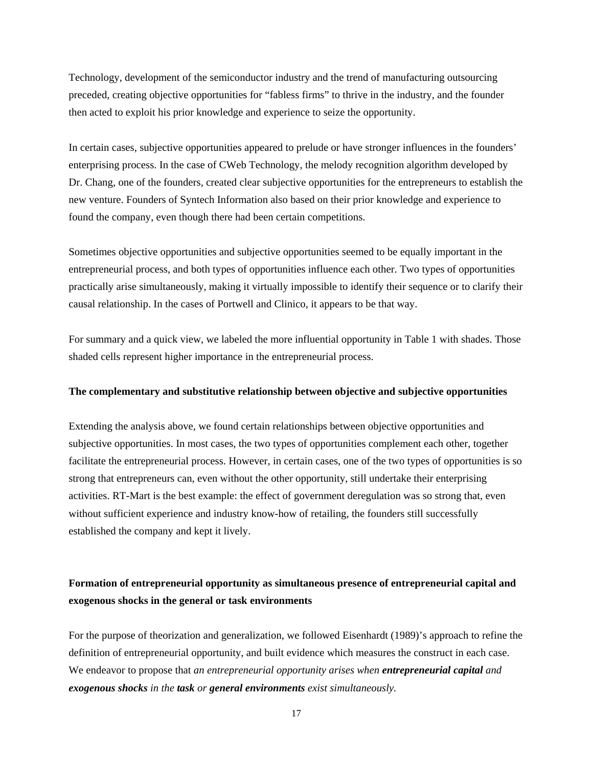Technology, development of the semiconductor industry and the trend of manufacturing outsourcing preceded, creating objective opportunities for "fabless firms" to thrive in the industry, and the founder then acted to exploit his prior knowledge and experience to seize the opportunity.

In certain cases, subjective opportunities appeared to prelude or have stronger influences in the founders' enterprising process. In the case of CWeb Technology, the melody recognition algorithm developed by Dr. Chang, one of the founders, created clear subjective opportunities for the entrepreneurs to establish the new venture. Founders of Syntech Information also based on their prior knowledge and experience to found the company, even though there had been certain competitions.

Sometimes objective opportunities and subjective opportunities seemed to be equally important in the entrepreneurial process, and both types of opportunities influence each other. Two types of opportunities practically arise simultaneously, making it virtually impossible to identify their sequence or to clarify their causal relationship. In the cases of Portwell and Clinico, it appears to be that way.

For summary and a quick view, we labeled the more influential opportunity in Table 1 with shades. Those shaded cells represent higher importance in the entrepreneurial process.

#### **The complementary and substitutive relationship between objective and subjective opportunities**

Extending the analysis above, we found certain relationships between objective opportunities and subjective opportunities. In most cases, the two types of opportunities complement each other, together facilitate the entrepreneurial process. However, in certain cases, one of the two types of opportunities is so strong that entrepreneurs can, even without the other opportunity, still undertake their enterprising activities. RT-Mart is the best example: the effect of government deregulation was so strong that, even without sufficient experience and industry know-how of retailing, the founders still successfully established the company and kept it lively.

### **Formation of entrepreneurial opportunity as simultaneous presence of entrepreneurial capital and exogenous shocks in the general or task environments**

For the purpose of theorization and generalization, we followed Eisenhardt (1989)'s approach to refine the definition of entrepreneurial opportunity, and built evidence which measures the construct in each case. We endeavor to propose that *an entrepreneurial opportunity arises when entrepreneurial capital and exogenous shocks in the task or general environments exist simultaneously.*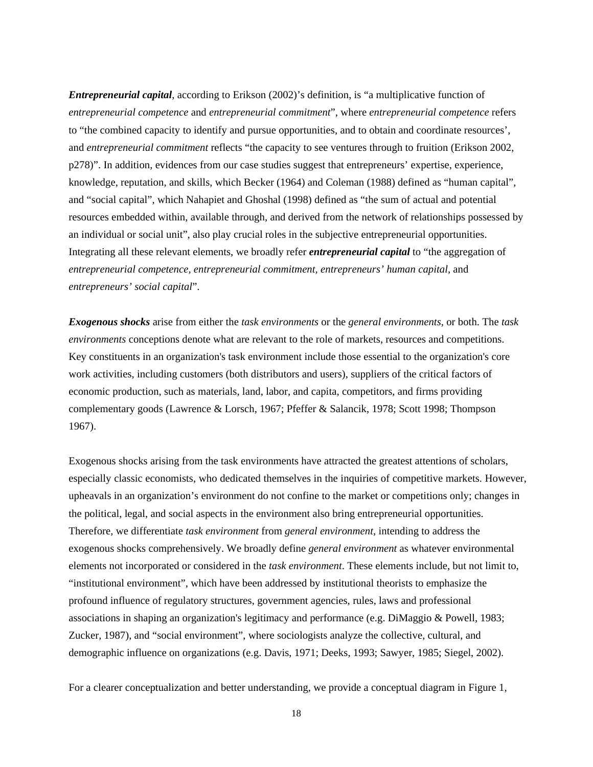*Entrepreneurial capital*, according to Erikson (2002)'s definition, is "a multiplicative function of *entrepreneurial competence* and *entrepreneurial commitment*", where *entrepreneurial competence* refers to "the combined capacity to identify and pursue opportunities, and to obtain and coordinate resources', and *entrepreneurial commitment* reflects "the capacity to see ventures through to fruition (Erikson 2002, p278)". In addition, evidences from our case studies suggest that entrepreneurs' expertise, experience, knowledge, reputation, and skills, which Becker (1964) and Coleman (1988) defined as "human capital", and "social capital", which Nahapiet and Ghoshal (1998) defined as "the sum of actual and potential resources embedded within, available through, and derived from the network of relationships possessed by an individual or social unit", also play crucial roles in the subjective entrepreneurial opportunities. Integrating all these relevant elements, we broadly refer *entrepreneurial capital* to "the aggregation of *entrepreneurial competence, entrepreneurial commitment, entrepreneurs' human capital,* and *entrepreneurs' social capital*".

*Exogenous shocks* arise from either the *task environments* or the *general environments*, or both. The *task environments* conceptions denote what are relevant to the role of markets, resources and competitions. Key constituents in an organization's task environment include those essential to the organization's core work activities, including customers (both distributors and users), suppliers of the critical factors of economic production, such as materials, land, labor, and capita, competitors, and firms providing complementary goods (Lawrence & Lorsch, 1967; Pfeffer & Salancik, 1978; Scott 1998; Thompson 1967).

Exogenous shocks arising from the task environments have attracted the greatest attentions of scholars, especially classic economists, who dedicated themselves in the inquiries of competitive markets. However, upheavals in an organization's environment do not confine to the market or competitions only; changes in the political, legal, and social aspects in the environment also bring entrepreneurial opportunities. Therefore, we differentiate *task environment* from *general environment*, intending to address the exogenous shocks comprehensively. We broadly define *general environment* as whatever environmental elements not incorporated or considered in the *task environment*. These elements include, but not limit to, "institutional environment", which have been addressed by institutional theorists to emphasize the profound influence of regulatory structures, government agencies, rules, laws and professional associations in shaping an organization's legitimacy and performance (e.g. DiMaggio & Powell, 1983; Zucker, 1987), and "social environment", where sociologists analyze the collective, cultural, and demographic influence on organizations (e.g. Davis, 1971; Deeks, 1993; Sawyer, 1985; Siegel, 2002).

For a clearer conceptualization and better understanding, we provide a conceptual diagram in Figure 1,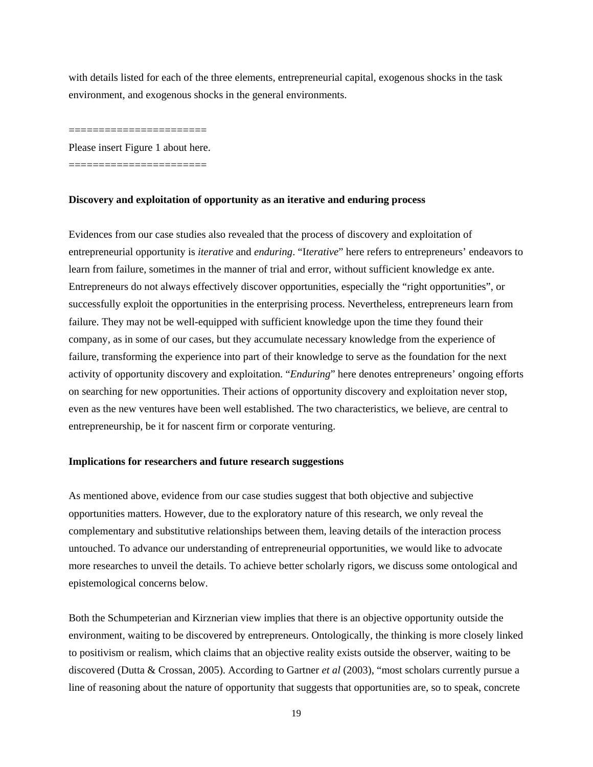with details listed for each of the three elements, entrepreneurial capital, exogenous shocks in the task environment, and exogenous shocks in the general environments.

=======================

Please insert Figure 1 about here.

=======================

#### **Discovery and exploitation of opportunity as an iterative and enduring process**

Evidences from our case studies also revealed that the process of discovery and exploitation of entrepreneurial opportunity is *iterative* and *enduring*. "I*terative*" here refers to entrepreneurs' endeavors to learn from failure, sometimes in the manner of trial and error, without sufficient knowledge ex ante. Entrepreneurs do not always effectively discover opportunities, especially the "right opportunities", or successfully exploit the opportunities in the enterprising process. Nevertheless, entrepreneurs learn from failure. They may not be well-equipped with sufficient knowledge upon the time they found their company, as in some of our cases, but they accumulate necessary knowledge from the experience of failure, transforming the experience into part of their knowledge to serve as the foundation for the next activity of opportunity discovery and exploitation. "*Enduring*" here denotes entrepreneurs' ongoing efforts on searching for new opportunities. Their actions of opportunity discovery and exploitation never stop, even as the new ventures have been well established. The two characteristics, we believe, are central to entrepreneurship, be it for nascent firm or corporate venturing.

#### **Implications for researchers and future research suggestions**

As mentioned above, evidence from our case studies suggest that both objective and subjective opportunities matters. However, due to the exploratory nature of this research, we only reveal the complementary and substitutive relationships between them, leaving details of the interaction process untouched. To advance our understanding of entrepreneurial opportunities, we would like to advocate more researches to unveil the details. To achieve better scholarly rigors, we discuss some ontological and epistemological concerns below.

Both the Schumpeterian and Kirznerian view implies that there is an objective opportunity outside the environment, waiting to be discovered by entrepreneurs. Ontologically, the thinking is more closely linked to positivism or realism, which claims that an objective reality exists outside the observer, waiting to be discovered (Dutta & Crossan, 2005). According to Gartner *et al* (2003), "most scholars currently pursue a line of reasoning about the nature of opportunity that suggests that opportunities are, so to speak, concrete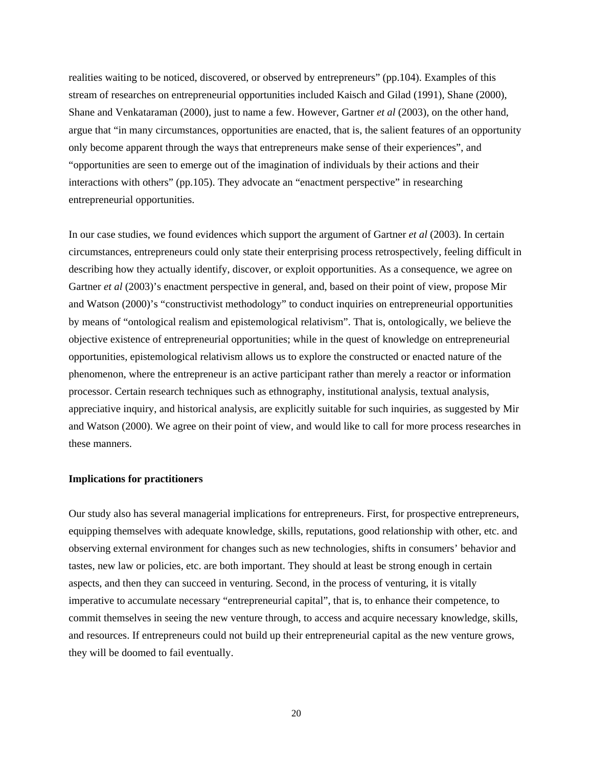realities waiting to be noticed, discovered, or observed by entrepreneurs" (pp.104). Examples of this stream of researches on entrepreneurial opportunities included Kaisch and Gilad (1991), Shane (2000), Shane and Venkataraman (2000), just to name a few. However, Gartner *et al* (2003), on the other hand, argue that "in many circumstances, opportunities are enacted, that is, the salient features of an opportunity only become apparent through the ways that entrepreneurs make sense of their experiences", and "opportunities are seen to emerge out of the imagination of individuals by their actions and their interactions with others" (pp.105). They advocate an "enactment perspective" in researching entrepreneurial opportunities.

In our case studies, we found evidences which support the argument of Gartner *et al* (2003). In certain circumstances, entrepreneurs could only state their enterprising process retrospectively, feeling difficult in describing how they actually identify, discover, or exploit opportunities. As a consequence, we agree on Gartner *et al* (2003)'s enactment perspective in general, and, based on their point of view, propose Mir and Watson (2000)'s "constructivist methodology" to conduct inquiries on entrepreneurial opportunities by means of "ontological realism and epistemological relativism". That is, ontologically, we believe the objective existence of entrepreneurial opportunities; while in the quest of knowledge on entrepreneurial opportunities, epistemological relativism allows us to explore the constructed or enacted nature of the phenomenon, where the entrepreneur is an active participant rather than merely a reactor or information processor. Certain research techniques such as ethnography, institutional analysis, textual analysis, appreciative inquiry, and historical analysis, are explicitly suitable for such inquiries, as suggested by Mir and Watson (2000). We agree on their point of view, and would like to call for more process researches in these manners.

#### **Implications for practitioners**

Our study also has several managerial implications for entrepreneurs. First, for prospective entrepreneurs, equipping themselves with adequate knowledge, skills, reputations, good relationship with other, etc. and observing external environment for changes such as new technologies, shifts in consumers' behavior and tastes, new law or policies, etc. are both important. They should at least be strong enough in certain aspects, and then they can succeed in venturing. Second, in the process of venturing, it is vitally imperative to accumulate necessary "entrepreneurial capital", that is, to enhance their competence, to commit themselves in seeing the new venture through, to access and acquire necessary knowledge, skills, and resources. If entrepreneurs could not build up their entrepreneurial capital as the new venture grows, they will be doomed to fail eventually.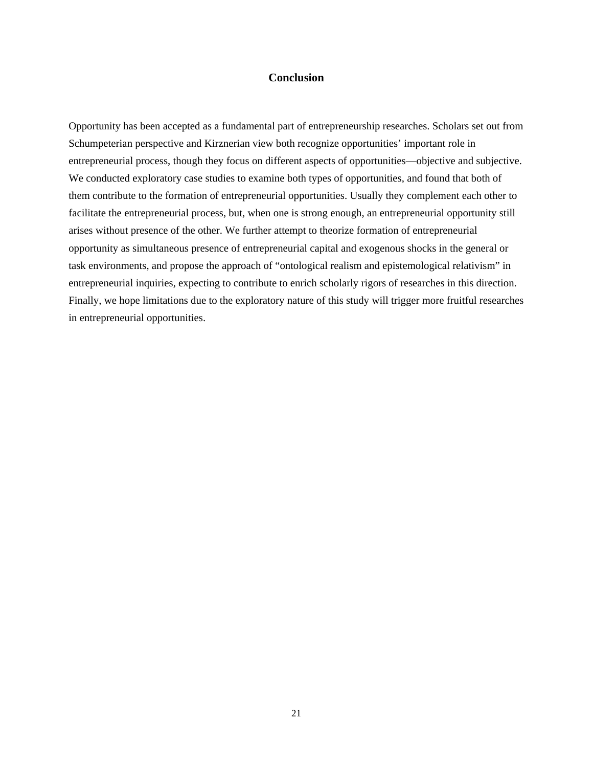#### **Conclusion**

Opportunity has been accepted as a fundamental part of entrepreneurship researches. Scholars set out from Schumpeterian perspective and Kirznerian view both recognize opportunities' important role in entrepreneurial process, though they focus on different aspects of opportunities—objective and subjective. We conducted exploratory case studies to examine both types of opportunities, and found that both of them contribute to the formation of entrepreneurial opportunities. Usually they complement each other to facilitate the entrepreneurial process, but, when one is strong enough, an entrepreneurial opportunity still arises without presence of the other. We further attempt to theorize formation of entrepreneurial opportunity as simultaneous presence of entrepreneurial capital and exogenous shocks in the general or task environments, and propose the approach of "ontological realism and epistemological relativism" in entrepreneurial inquiries, expecting to contribute to enrich scholarly rigors of researches in this direction. Finally, we hope limitations due to the exploratory nature of this study will trigger more fruitful researches in entrepreneurial opportunities.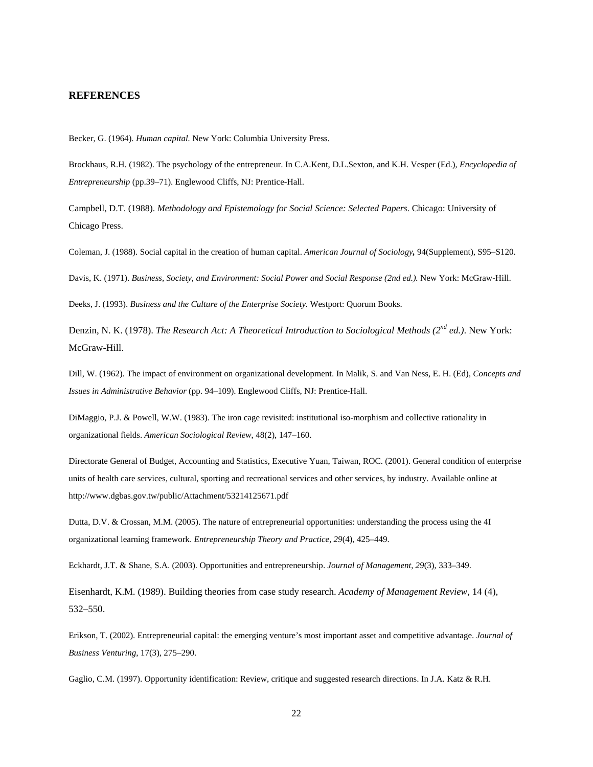#### **REFERENCES**

Becker, G. (1964). *Human capital.* New York: Columbia University Press.

Brockhaus, R.H. (1982). The psychology of the entrepreneur. In C.A.Kent, D.L.Sexton, and K.H. Vesper (Ed.), *Encyclopedia of Entrepreneurship* (pp.39–71). Englewood Cliffs, NJ: Prentice-Hall.

Campbell, D.T. (1988). *Methodology and Epistemology for Social Science: Selected Papers*. Chicago: University of Chicago Press.

Coleman, J. (1988). Social capital in the creation of human capital. *American Journal of Sociology,* 94(Supplement), S95–S120.

Davis, K. (1971). *Business, Society, and Environment: Social Power and Social Response (2nd ed.)*. New York: McGraw-Hill.

Deeks, J. (1993). *Business and the Culture of the Enterprise Society*. Westport: Quorum Books.

Denzin, N. K. (1978). *The Research Act: A Theoretical Introduction to Sociological Methods (2nd ed.)*. New York: McGraw-Hill.

Dill, W. (1962). The impact of environment on organizational development. In Malik, S. and Van Ness, E. H. (Ed), *Concepts and Issues in Administrative Behavior* (pp. 94–109). Englewood Cliffs, NJ: Prentice-Hall.

DiMaggio, P.J. & Powell, W.W. (1983). The iron cage revisited: institutional iso-morphism and collective rationality in organizational fields. *American Sociological Review*, 48(2), 147–160.

Directorate General of Budget, Accounting and Statistics, Executive Yuan, Taiwan, ROC. (2001). General condition of enterprise units of health care services, cultural, sporting and recreational services and other services, by industry. Available online at http://www.dgbas.gov.tw/public/Attachment/53214125671.pdf

Dutta, D.V. & Crossan, M.M. (2005). The nature of entrepreneurial opportunities: understanding the process using the 4I organizational learning framework. *Entrepreneurship Theory and Practice, 29*(4), 425–449.

Eckhardt, J.T. & Shane, S.A. (2003). Opportunities and entrepreneurship. *Journal of Management*, *29*(3), 333–349.

Eisenhardt, K.M. (1989). Building theories from case study research. *Academy of Management Review*, 14 (4), 532–550.

Erikson, T. (2002). Entrepreneurial capital: the emerging venture's most important asset and competitive advantage. *Journal of Business Venturing*, 17(3), 275–290.

Gaglio, C.M. (1997). Opportunity identification: Review, critique and suggested research directions. In J.A. Katz & R.H.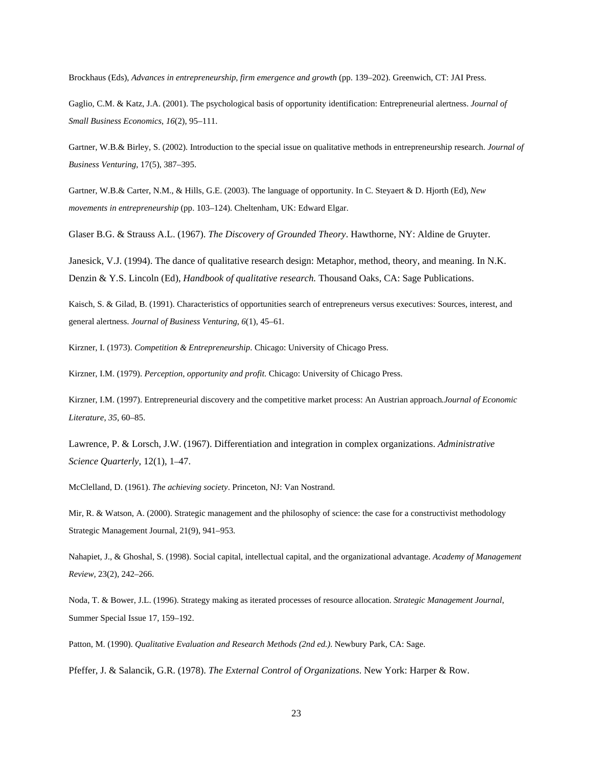Brockhaus (Eds), *Advances in entrepreneurship, firm emergence and growth* (pp. 139–202). Greenwich, CT: JAI Press.

Gaglio, C.M. & Katz, J.A. (2001). The psychological basis of opportunity identification: Entrepreneurial alertness. *Journal of Small Business Economics*, *16*(2), 95–111.

Gartner, W.B.& Birley, S. (2002). Introduction to the special issue on qualitative methods in entrepreneurship research. *Journal of Business Venturing*, 17(5), 387–395.

Gartner, W.B.& Carter, N.M., & Hills, G.E. (2003). The language of opportunity. In C. Steyaert & D. Hjorth (Ed), *New movements in entrepreneurship* (pp. 103–124). Cheltenham, UK: Edward Elgar.

Glaser B.G. & Strauss A.L. (1967). *The Discovery of Grounded Theory*. Hawthorne, NY: Aldine de Gruyter.

Janesick, V.J. (1994). The dance of qualitative research design: Metaphor, method, theory, and meaning. In N.K. Denzin & Y.S. Lincoln (Ed), *Handbook of qualitative research.* Thousand Oaks, CA: Sage Publications.

Kaisch, S. & Gilad, B. (1991). Characteristics of opportunities search of entrepreneurs versus executives: Sources, interest, and general alertness. *Journal of Business Venturing*, *6*(1), 45–61.

Kirzner, I. (1973). *Competition & Entrepreneurship*. Chicago: University of Chicago Press.

Kirzner, I.M. (1979). *Perception, opportunity and profit.* Chicago: University of Chicago Press.

Kirzner, I.M. (1997). Entrepreneurial discovery and the competitive market process: An Austrian approach*.Journal of Economic Literature*, *35*, 60–85.

Lawrence, P. & Lorsch, J.W. (1967). Differentiation and integration in complex organizations. *Administrative Science Quarterly*, 12(1), 1–47.

McClelland, D. (1961). *The achieving society*. Princeton, NJ: Van Nostrand.

Mir, R. & Watson, A. (2000). Strategic management and the philosophy of science: the case for a constructivist methodology Strategic Management Journal, 21(9), 941–953.

Nahapiet, J., & Ghoshal, S. (1998). Social capital, intellectual capital, and the organizational advantage. *Academy of Management Review,* 23(2), 242–266.

Noda, T. & Bower, J.L. (1996). Strategy making as iterated processes of resource allocation. *Strategic Management Journal*, Summer Special Issue 17, 159–192.

Patton, M. (1990). *Qualitative Evaluation and Research Methods (2nd ed.)*. Newbury Park, CA: Sage.

Pfeffer, J. & Salancik, G.R. (1978). *The External Control of Organizations*. New York: Harper & Row.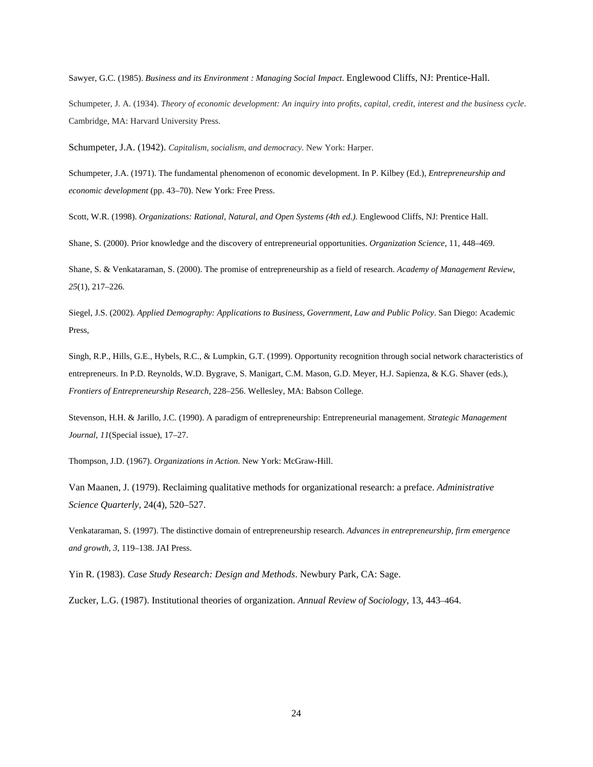Sawyer, G.C. (1985). *Business and its Environment : Managing Social Impact*. Englewood Cliffs, NJ: Prentice-Hall.

Schumpeter, J. A. (1934). *Theory of economic development: An inquiry into profits, capital, credit, interest and the business cycle*. Cambridge, MA: Harvard University Press.

Schumpeter, J.A. (1942). *Capitalism, socialism, and democracy*. New York: Harper.

Schumpeter, J.A. (1971). The fundamental phenomenon of economic development. In P. Kilbey (Ed.), *Entrepreneurship and economic development* (pp. 43–70). New York: Free Press.

Scott, W.R. (1998). *Organizations: Rational, Natural, and Open Systems (4th ed.)*. Englewood Cliffs, NJ: Prentice Hall.

Shane, S. (2000). Prior knowledge and the discovery of entrepreneurial opportunities. *Organization Science*, 11, 448–469.

Shane, S. & Venkataraman, S. (2000). The promise of entrepreneurship as a field of research. *Academy of Management Review*, *25*(1), 217–226.

Siegel, J.S. (2002)*. Applied Demography: Applications to Business, Government, Law and Public Policy*. San Diego: Academic Press,

Singh, R.P., Hills, G.E., Hybels, R.C., & Lumpkin, G.T. (1999). Opportunity recognition through social network characteristics of entrepreneurs. In P.D. Reynolds, W.D. Bygrave, S. Manigart, C.M. Mason, G.D. Meyer, H.J. Sapienza, & K.G. Shaver (eds.), *Frontiers of Entrepreneurship Research*, 228–256. Wellesley, MA: Babson College.

Stevenson, H.H. & Jarillo, J.C. (1990). A paradigm of entrepreneurship: Entrepreneurial management. *Strategic Management Journal*, *11*(Special issue), 17–27.

Thompson, J.D. (1967). *Organizations in Action*. New York: McGraw-Hill.

Van Maanen, J. (1979). Reclaiming qualitative methods for organizational research: a preface. *Administrative Science Quarterly*, 24(4), 520–527.

Venkataraman, S. (1997). The distinctive domain of entrepreneurship research. *Advances in entrepreneurship, firm emergence and growth*, *3*, 119–138. JAI Press.

Yin R. (1983). *Case Study Research: Design and Methods*. Newbury Park, CA: Sage.

Zucker, L.G. (1987). Institutional theories of organization. *Annual Review of Sociology*, 13, 443–464.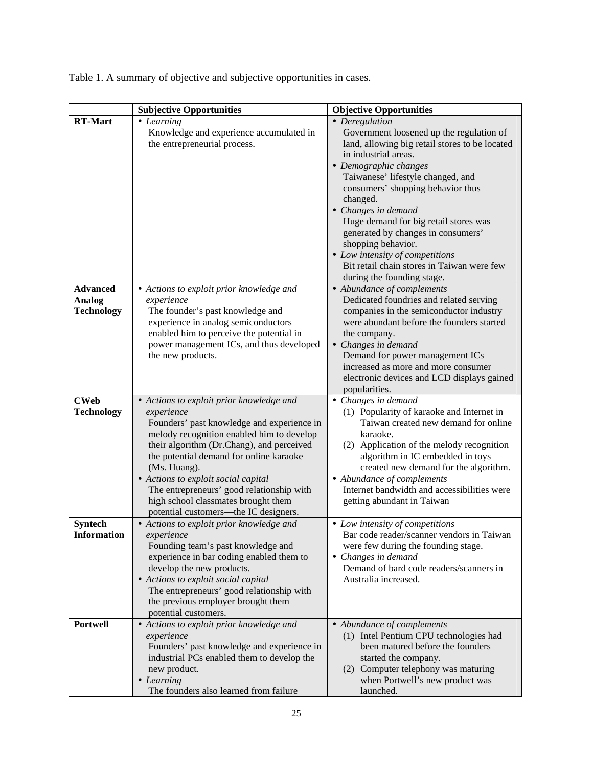|                                                       | <b>Subjective Opportunities</b>                                                                                                                                                                                                                                                                                                                                                                                                                                           | <b>Objective Opportunities</b>                                                                                                                                                                                                                                                                                                                                                                                                                                                                 |
|-------------------------------------------------------|---------------------------------------------------------------------------------------------------------------------------------------------------------------------------------------------------------------------------------------------------------------------------------------------------------------------------------------------------------------------------------------------------------------------------------------------------------------------------|------------------------------------------------------------------------------------------------------------------------------------------------------------------------------------------------------------------------------------------------------------------------------------------------------------------------------------------------------------------------------------------------------------------------------------------------------------------------------------------------|
| <b>RT-Mart</b>                                        | • Learning<br>Knowledge and experience accumulated in<br>the entrepreneurial process.                                                                                                                                                                                                                                                                                                                                                                                     | • Deregulation<br>Government loosened up the regulation of<br>land, allowing big retail stores to be located<br>in industrial areas.<br>• Demographic changes<br>Taiwanese' lifestyle changed, and<br>consumers' shopping behavior thus<br>changed.<br>• Changes in demand<br>Huge demand for big retail stores was<br>generated by changes in consumers'<br>shopping behavior.<br>• Low intensity of competitions<br>Bit retail chain stores in Taiwan were few<br>during the founding stage. |
| <b>Advanced</b><br><b>Analog</b><br><b>Technology</b> | • Actions to exploit prior knowledge and<br>experience<br>The founder's past knowledge and<br>experience in analog semiconductors<br>enabled him to perceive the potential in<br>power management ICs, and thus developed<br>the new products.                                                                                                                                                                                                                            | • Abundance of complements<br>Dedicated foundries and related serving<br>companies in the semiconductor industry<br>were abundant before the founders started<br>the company.<br>• Changes in demand<br>Demand for power management ICs<br>increased as more and more consumer<br>electronic devices and LCD displays gained<br>popularities.                                                                                                                                                  |
| <b>CWeb</b><br><b>Technology</b><br><b>Syntech</b>    | • Actions to exploit prior knowledge and<br>experience<br>Founders' past knowledge and experience in<br>melody recognition enabled him to develop<br>their algorithm (Dr.Chang), and perceived<br>the potential demand for online karaoke<br>(Ms. Huang).<br>• Actions to exploit social capital<br>The entrepreneurs' good relationship with<br>high school classmates brought them<br>potential customers—the IC designers.<br>• Actions to exploit prior knowledge and | • Changes in demand<br>(1) Popularity of karaoke and Internet in<br>Taiwan created new demand for online<br>karaoke.<br>(2) Application of the melody recognition<br>algorithm in IC embedded in toys<br>created new demand for the algorithm.<br>• Abundance of complements<br>Internet bandwidth and accessibilities were<br>getting abundant in Taiwan<br>• Low intensity of competitions                                                                                                   |
| <b>Information</b>                                    | experience<br>Founding team's past knowledge and<br>experience in bar coding enabled them to<br>develop the new products.<br>• Actions to exploit social capital<br>The entrepreneurs' good relationship with<br>the previous employer brought them<br>potential customers.                                                                                                                                                                                               | Bar code reader/scanner vendors in Taiwan<br>were few during the founding stage.<br>• Changes in demand<br>Demand of bard code readers/scanners in<br>Australia increased.                                                                                                                                                                                                                                                                                                                     |
| <b>Portwell</b>                                       | • Actions to exploit prior knowledge and<br>experience<br>Founders' past knowledge and experience in<br>industrial PCs enabled them to develop the<br>new product.<br>• Learning<br>The founders also learned from failure                                                                                                                                                                                                                                                | • Abundance of complements<br>(1) Intel Pentium CPU technologies had<br>been matured before the founders<br>started the company.<br>(2) Computer telephony was maturing<br>when Portwell's new product was<br>launched.                                                                                                                                                                                                                                                                        |

Table 1. A summary of objective and subjective opportunities in cases.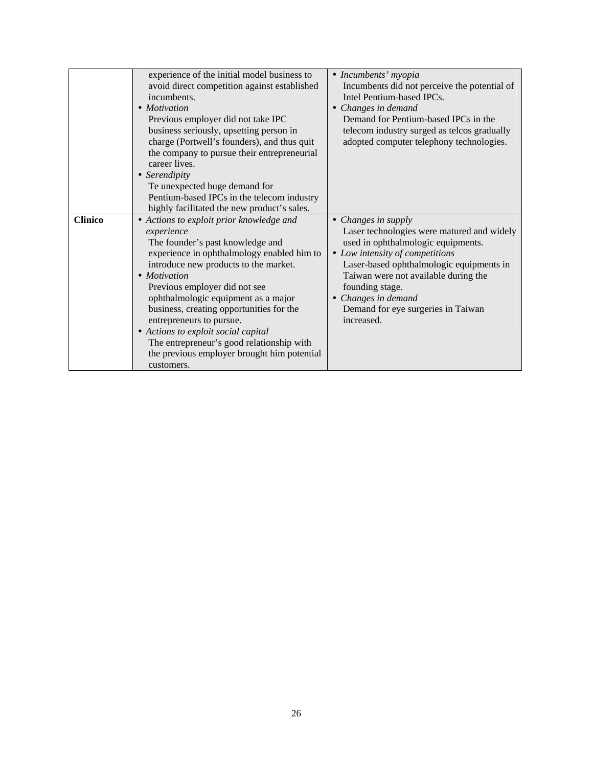|                | experience of the initial model business to  | • Incumbents' myopia                         |
|----------------|----------------------------------------------|----------------------------------------------|
|                | avoid direct competition against established | Incumbents did not perceive the potential of |
|                |                                              |                                              |
|                | incumbents.                                  | Intel Pentium-based IPCs.                    |
|                | • Motivation                                 | Changes in demand                            |
|                | Previous employer did not take IPC           | Demand for Pentium-based IPCs in the         |
|                | business seriously, upsetting person in      | telecom industry surged as telcos gradually  |
|                | charge (Portwell's founders), and thus quit  | adopted computer telephony technologies.     |
|                | the company to pursue their entrepreneurial  |                                              |
|                | career lives.                                |                                              |
|                | • Serendipity                                |                                              |
|                | Te unexpected huge demand for                |                                              |
|                | Pentium-based IPCs in the telecom industry   |                                              |
|                | highly facilitated the new product's sales.  |                                              |
| <b>Clinico</b> | • Actions to exploit prior knowledge and     | • Changes in supply                          |
|                | experience                                   | Laser technologies were matured and widely   |
|                | The founder's past knowledge and             | used in ophthalmologic equipments.           |
|                | experience in ophthalmology enabled him to   | • Low intensity of competitions              |
|                | introduce new products to the market.        | Laser-based ophthalmologic equipments in     |
|                | • Motivation                                 | Taiwan were not available during the         |
|                |                                              |                                              |
|                | Previous employer did not see                | founding stage.                              |
|                | ophthalmologic equipment as a major          | Changes in demand                            |
|                | business, creating opportunities for the     | Demand for eye surgeries in Taiwan           |
|                | entrepreneurs to pursue.                     | increased.                                   |
|                | • Actions to exploit social capital          |                                              |
|                | The entrepreneur's good relationship with    |                                              |
|                | the previous employer brought him potential  |                                              |
|                | customers.                                   |                                              |